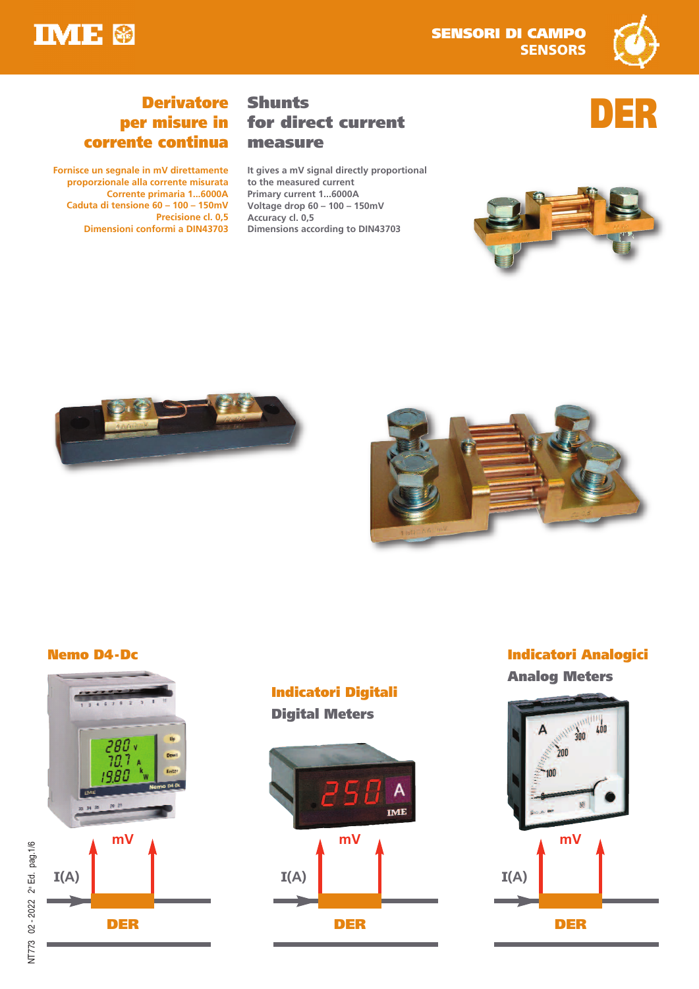



**DER**

# **Derivatore per misure in corrente continua**

**Fornisce un segnale in mV direttamente proporzionale alla corrente misurata Corrente primaria 1...6000A Caduta di tensione 60 – 100 – 150mV Precisione cl. 0,5 Dimensioni conformi a DIN43703**

# **Shunts for direct current measure**

**It gives a mV signal directly proportional to the measured current Primary current 1...6000A Voltage drop 60 – 100 – 150mV Accuracy cl. 0,5 Dimensions according to DIN43703**









## **Indicatori Digitali Digital Meters**



## **Nemo D4-Dc Indicatori Analogici**

**Analog Meters**

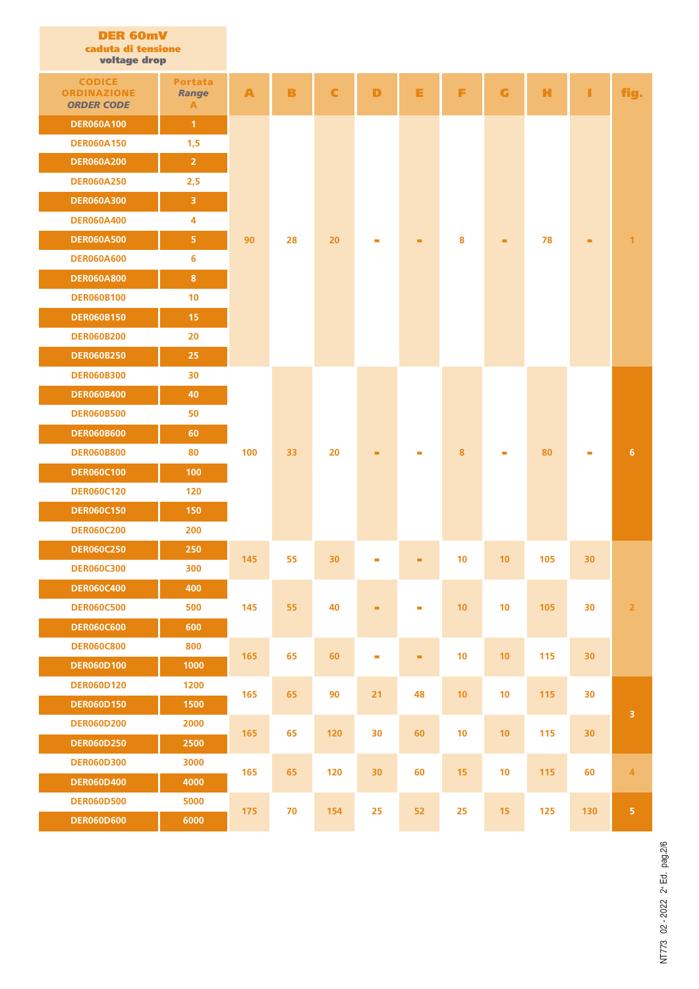| <b>DER 60mV</b><br>caduta di tensione<br>voltage drop    |                                     |                  |    |                 |                 |    |                 |                         |     |                          |                         |  |
|----------------------------------------------------------|-------------------------------------|------------------|----|-----------------|-----------------|----|-----------------|-------------------------|-----|--------------------------|-------------------------|--|
| <b>CODICE</b><br><b>ORDINAZIONE</b><br><b>ORDER CODE</b> | <b>Portata</b><br><b>Range</b><br>A | $\blacktriangle$ | B  | C               | D               | Е  | F               | $\overline{\mathbf{G}}$ | н   | ı.                       | fig.                    |  |
| <b>DER060A100</b>                                        | $\overline{1}$                      |                  |    |                 |                 |    |                 |                         |     |                          |                         |  |
| <b>DER060A150</b>                                        | 1,5                                 |                  |    |                 |                 |    |                 |                         |     |                          | 1                       |  |
| <b>DER060A200</b>                                        | $\overline{2}$                      |                  |    |                 |                 |    |                 |                         |     |                          |                         |  |
| <b>DER060A250</b>                                        | 2,5                                 |                  |    |                 |                 |    |                 |                         |     |                          |                         |  |
| <b>DER060A300</b>                                        | 3                                   |                  |    |                 |                 |    |                 |                         |     |                          |                         |  |
| <b>DER060A400</b>                                        | 4                                   |                  |    |                 |                 |    |                 |                         |     |                          |                         |  |
| <b>DER060A500</b>                                        | 5                                   | 90               | 28 | 20              | $\blacksquare$  | ۰  | 8               | ٠                       | 78  | ۰                        |                         |  |
| <b>DER060A600</b>                                        | 6                                   |                  |    |                 |                 |    |                 |                         |     |                          |                         |  |
| <b>DER060A800</b>                                        | $\bf{8}$                            |                  |    |                 |                 |    |                 |                         |     |                          |                         |  |
| <b>DER060B100</b>                                        | 10                                  |                  |    |                 |                 |    |                 |                         |     |                          |                         |  |
| <b>DER060B150</b>                                        | 15                                  |                  |    |                 |                 |    |                 |                         |     |                          |                         |  |
| <b>DER060B200</b>                                        | 20                                  |                  |    |                 |                 |    |                 |                         |     |                          |                         |  |
| <b>DER060B250</b>                                        | 25                                  |                  |    |                 |                 |    |                 |                         |     |                          |                         |  |
| <b>DER060B300</b>                                        | 30                                  |                  | 33 | 20              | ۰               |    |                 | ٠                       | 80  |                          |                         |  |
| <b>DER060B400</b>                                        | 40                                  |                  |    |                 |                 |    |                 |                         |     |                          |                         |  |
| <b>DER060B500</b>                                        | 50                                  |                  |    |                 |                 |    |                 |                         |     |                          |                         |  |
| <b>DER060B600</b>                                        | 60                                  |                  |    |                 |                 |    |                 |                         |     | $\overline{\phantom{a}}$ |                         |  |
| <b>DER060B800</b>                                        | 80                                  | 100              |    |                 |                 | ×, | 8               |                         |     |                          | 6                       |  |
| <b>DER060C100</b>                                        | 100                                 |                  |    |                 |                 |    |                 |                         |     |                          |                         |  |
| <b>DER060C120</b>                                        | 120                                 |                  |    |                 |                 |    |                 |                         |     |                          |                         |  |
| <b>DER060C150</b>                                        | 150                                 |                  |    |                 |                 |    |                 |                         |     |                          |                         |  |
| <b>DER060C200</b>                                        | 200                                 |                  |    |                 |                 |    |                 |                         |     |                          |                         |  |
| <b>DER060C250</b>                                        | 250                                 | 145              | 55 | 30 <sub>2</sub> |                 |    | 10              | 10                      | 105 | 30 <sub>2</sub>          |                         |  |
| <b>DER060C300</b>                                        | 300                                 |                  |    |                 |                 |    |                 |                         |     |                          |                         |  |
| <b>DER060C400</b>                                        | 400                                 |                  | 55 |                 |                 |    | $10$            | $10$                    | 105 |                          |                         |  |
| <b>DER060C500</b>                                        | 500                                 | 145              |    | 40              | ۰               | ш, |                 |                         |     | 30                       | $\overline{\mathbf{2}}$ |  |
| <b>DER060C600</b>                                        | 600                                 |                  |    |                 |                 |    |                 |                         |     |                          |                         |  |
| <b>DER060C800</b>                                        | 800                                 | 165              | 65 | 60              | $\blacksquare$  | ۰  | $10$            | $10$                    | 115 | 30 <sub>2</sub>          |                         |  |
| <b>DER060D100</b>                                        | 1000                                |                  |    |                 |                 |    |                 |                         |     |                          |                         |  |
| <b>DER060D120</b>                                        | 1200                                | 165              | 65 | 90              | 21              | 48 | 10              | $10$                    | 115 | 30                       |                         |  |
| <b>DER060D150</b>                                        | 1500                                |                  |    |                 |                 |    |                 |                         |     |                          | $\overline{3}$          |  |
| <b>DER060D200</b>                                        | 2000                                | 165              | 65 | 120             | 30              | 60 | 10              | 10                      | 115 | 30 <sub>2</sub>          |                         |  |
| <b>DER060D250</b>                                        | 2500                                |                  |    |                 |                 |    |                 |                         |     |                          |                         |  |
| <b>DER060D300</b>                                        | 3000                                | 165              | 65 | 120             | 30 <sub>2</sub> | 60 | 15 <sub>1</sub> | 10                      | 115 | 60                       | $\overline{4}$          |  |
| <b>DER060D400</b>                                        | 4000                                |                  |    |                 |                 |    |                 |                         |     |                          |                         |  |
| <b>DER060D500</b>                                        | 5000                                | 175              | 70 | 154             | 25              | 52 | 25              | 15 <sub>1</sub>         | 125 | 130                      | $\overline{\mathbf{5}}$ |  |
| <b>DER060D600</b>                                        | 6000                                |                  |    |                 |                 |    |                 |                         |     |                          |                         |  |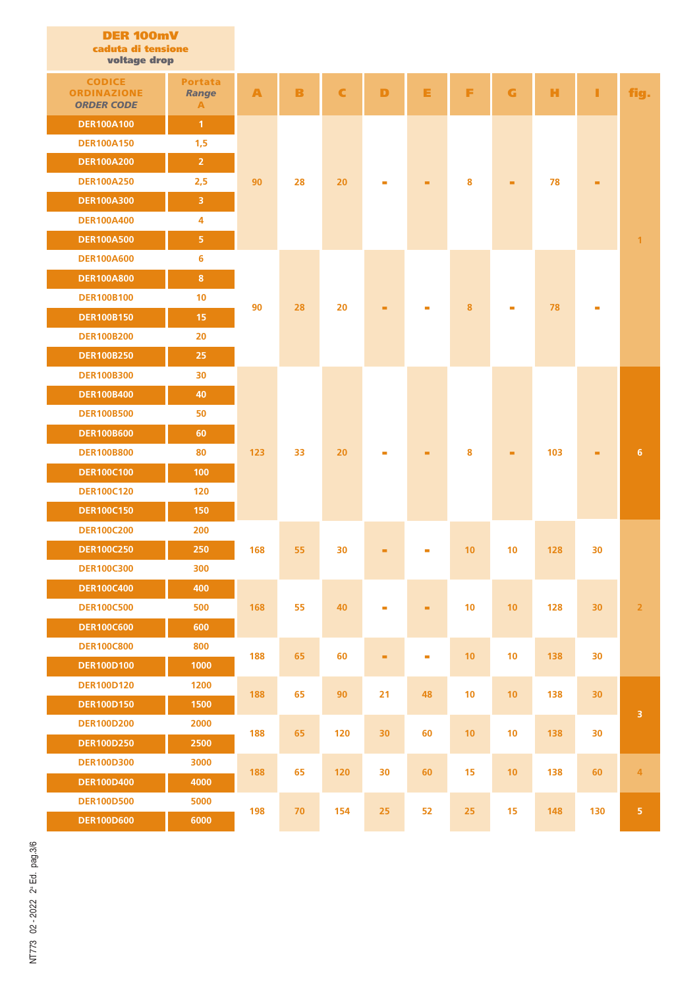| <b>DER 100mV</b><br>caduta di tensione<br>voltage drop   |                                     |     |        |     |              |                                 |          |      |        |     |                           |
|----------------------------------------------------------|-------------------------------------|-----|--------|-----|--------------|---------------------------------|----------|------|--------|-----|---------------------------|
| <b>CODICE</b><br><b>ORDINAZIONE</b><br><b>ORDER CODE</b> | <b>Portata</b><br><b>Range</b><br>A | A   | B      | C   | D            | Е                               | F        | G    | н      | п   | fig.                      |
| <b>DER100A100</b>                                        | $\mathbf{1}$                        |     |        |     |              |                                 |          |      |        |     |                           |
| <b>DER100A150</b>                                        | 1,5                                 |     |        |     |              |                                 |          |      |        |     |                           |
| <b>DER100A200</b>                                        | $\overline{2}$                      |     |        |     |              | ٠                               | 8        |      | 78     |     |                           |
| <b>DER100A250</b>                                        | 2,5                                 | 90  | 28     | 20  |              |                                 |          | ۰    |        |     |                           |
| <b>DER100A300</b>                                        | $\overline{\mathbf{3}}$             |     |        |     |              |                                 |          |      |        |     |                           |
| <b>DER100A400</b>                                        | 4                                   |     |        |     |              |                                 |          |      |        |     |                           |
| <b>DER100A500</b>                                        | 5 <sub>1</sub>                      |     |        |     |              |                                 |          |      |        |     | $\mathbf{1}$              |
| <b>DER100A600</b>                                        | 6                                   |     |        |     |              |                                 |          |      |        |     |                           |
| <b>DER100A800</b>                                        | $\bf 8$                             |     |        | 20  |              |                                 |          |      |        |     |                           |
| <b>DER100B100</b>                                        | 10                                  | 90  |        |     | ▬            |                                 | 8        |      | 78     |     |                           |
| <b>DER100B150</b>                                        | 15                                  |     | 28     |     |              |                                 |          |      |        |     |                           |
| <b>DER100B200</b>                                        | 20                                  |     |        |     |              |                                 |          |      |        |     |                           |
| <b>DER100B250</b>                                        | 25                                  |     |        |     |              |                                 |          |      |        |     |                           |
| <b>DER100B300</b>                                        | 30                                  |     |        |     |              |                                 |          |      |        |     |                           |
| <b>DER100B400</b>                                        | 40                                  | 123 |        |     |              |                                 |          |      |        |     |                           |
| <b>DER100B500</b>                                        | 50                                  |     |        |     |              |                                 |          |      |        |     |                           |
| <b>DER100B600</b>                                        | 60                                  |     | 33     | 20  | $\mathbf{r}$ |                                 |          |      | 103    |     | 6                         |
| <b>DER100B800</b>                                        | 80                                  |     |        |     |              | ٠                               | 8        | ۰    |        | ٠   |                           |
| <b>DER100C100</b>                                        | 100                                 |     |        |     |              |                                 |          |      |        |     |                           |
| <b>DER100C120</b>                                        | 120                                 |     |        |     |              |                                 |          |      |        |     |                           |
| <b>DER100C150</b>                                        | 150                                 |     |        |     |              |                                 |          |      |        |     |                           |
| <b>DER100C200</b>                                        | 200                                 |     |        |     |              |                                 |          |      |        |     |                           |
| <b>DER100C250</b>                                        | 250                                 |     | 168 55 |     |              | $30 \qquad \qquad \blacksquare$ | 10       |      | 10 128 | 30  |                           |
| <b>DER100C300</b>                                        | 300                                 |     |        |     |              |                                 |          |      |        |     |                           |
| <b>DER100C400</b>                                        | 400                                 | 168 |        | 40  |              |                                 | 10       | 10   | 128    |     |                           |
| <b>DER100C500</b>                                        | 500                                 |     | 55     |     | $\sim$       | ۰                               |          |      |        | 30  | $\overline{2}$            |
| <b>DER100C600</b>                                        | 600                                 |     |        |     |              |                                 |          |      |        |     |                           |
| <b>DER100C800</b>                                        | 800                                 | 188 | 65     | 60  | ٠            | $\blacksquare$                  | 10       | 10   | 138    | 30  |                           |
| <b>DER100D100</b>                                        | 1000                                |     |        |     |              |                                 |          |      |        |     |                           |
| <b>DER100D120</b>                                        | 1200                                | 188 | 65     | 90  | 21           | 48                              | 10       | 10   | 138    | 30  |                           |
| <b>DER100D150</b>                                        | 1500                                |     |        |     |              |                                 |          |      |        |     | $\ensuremath{\mathsf{3}}$ |
| <b>DER100D200</b>                                        | 2000                                | 188 | 65     | 120 | 30           | 60                              | 10       | $10$ | 138    | 30  |                           |
| <b>DER100D250</b>                                        | 2500                                |     |        |     |              |                                 |          |      |        |     |                           |
| <b>DER100D300</b>                                        | 3000                                | 188 | 65     | 120 | 30           |                                 | 15<br>60 | 10   | 138    | 60  | 4                         |
| <b>DER100D400</b>                                        | 4000                                |     |        |     |              |                                 |          |      |        |     |                           |
| <b>DER100D500</b>                                        | 5000                                | 198 | 70     | 154 | 25           | 52                              | 25       | 15   | 148    | 130 | $\overline{\mathbf{5}}$   |
| <b>DER100D600</b>                                        | 6000                                |     |        |     |              |                                 |          |      |        |     |                           |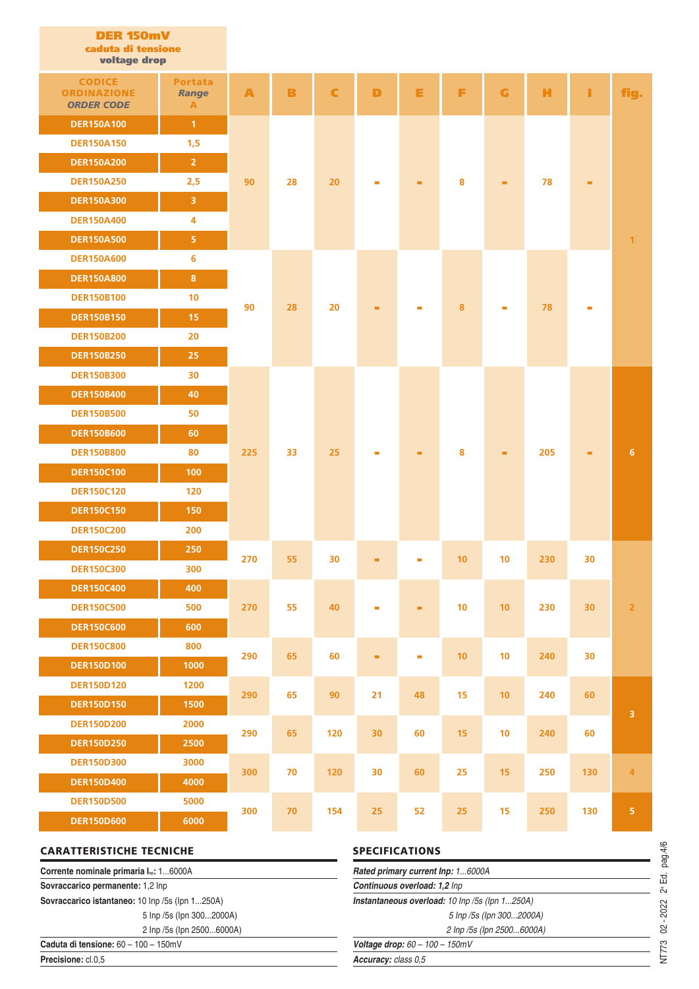| <b>DER 150mV</b><br>caduta di tensione<br>voltage drop   |                                                |     |        |             |                |                          |    |    |     |     |                         |
|----------------------------------------------------------|------------------------------------------------|-----|--------|-------------|----------------|--------------------------|----|----|-----|-----|-------------------------|
| <b>CODICE</b><br><b>ORDINAZIONE</b><br><b>ORDER CODE</b> | <b>Portata</b><br><b>Range</b><br>$\mathbf{A}$ | A   | B      | $\mathbf C$ | D              | Е                        | F  | G  | н   | П   | fig.                    |
| <b>DER150A100</b>                                        | $\mathbf{1}$                                   |     |        |             |                |                          |    |    |     |     |                         |
| <b>DER150A150</b>                                        | 1,5                                            |     |        |             |                |                          |    |    |     |     |                         |
| <b>DER150A200</b>                                        | $\overline{2}$                                 |     |        |             |                | ٠                        | 8  |    | 78  | ۰   |                         |
| <b>DER150A250</b>                                        | 2,5                                            | 90  | 28     | 20          |                |                          |    | ٠  |     |     |                         |
| <b>DER150A300</b>                                        | 3                                              |     |        |             |                |                          |    |    |     |     |                         |
| <b>DER150A400</b>                                        | 4                                              |     |        |             |                |                          |    |    |     |     |                         |
| <b>DER150A500</b>                                        | $\overline{\mathbf{5}}$                        |     |        |             |                |                          |    |    |     |     | $\mathbf{1}$            |
| <b>DER150A600</b>                                        | 6                                              |     |        |             |                |                          |    |    |     |     |                         |
| <b>DER150A800</b>                                        | $\bf{8}$                                       |     |        | 20          |                |                          | 8  |    |     |     |                         |
| <b>DER150B100</b>                                        | 10                                             | 90  | 28     |             | ٠              |                          |    |    | 78  | m.  |                         |
| <b>DER150B150</b>                                        | 15                                             |     |        |             |                |                          |    |    |     |     |                         |
| <b>DER150B200</b>                                        | 20                                             |     |        |             |                |                          |    |    |     |     |                         |
| <b>DER150B250</b>                                        | 25                                             |     |        |             |                |                          |    |    |     |     |                         |
| <b>DER150B300</b>                                        | 30                                             |     |        |             |                |                          |    |    |     |     |                         |
| <b>DER150B400</b>                                        | 40                                             | 225 |        |             |                |                          |    |    | 205 |     |                         |
| <b>DER150B500</b>                                        | 50                                             |     |        |             |                |                          |    |    |     |     |                         |
| <b>DER150B600</b>                                        | 60                                             |     |        |             |                |                          |    |    |     |     |                         |
| <b>DER150B800</b>                                        | 80                                             |     | 33     | 25          | $\blacksquare$ | ۰                        | 8  | ٠  |     | m.  | 6                       |
| <b>DER150C100</b>                                        | 100                                            |     |        |             |                |                          |    |    |     |     |                         |
| <b>DER150C120</b>                                        | 120                                            |     |        |             |                |                          |    |    |     |     |                         |
| <b>DER150C150</b>                                        | 150                                            |     |        |             |                |                          |    |    |     |     |                         |
| <b>DER150C200</b>                                        | 200                                            |     |        |             |                |                          |    |    |     |     |                         |
| <b>DER150C250</b>                                        | 250                                            | 270 | 55     | 30          | ٠              | ×.                       | 10 | 10 | 230 | 30  |                         |
| <b>DER150C300</b>                                        | 300                                            |     |        |             |                |                          |    |    |     |     |                         |
| <b>DER150C400</b>                                        | 400                                            |     |        |             |                |                          |    |    |     |     |                         |
| <b>DER150C500</b>                                        | 500                                            | 270 | 55     | 40          | $\blacksquare$ | ۰                        | 10 | 10 | 230 | 30  | $\overline{2}$          |
| <b>DER150C600</b>                                        | 600                                            |     |        |             |                |                          |    |    |     |     |                         |
| <b>DER150C800</b>                                        | 800                                            | 290 | 65     | 60          | ٠              | $\overline{\phantom{a}}$ | 10 | 10 | 240 | 30  |                         |
| <b>DER150D100</b>                                        | 1000                                           |     |        |             |                |                          |    |    |     |     |                         |
| <b>DER150D120</b>                                        | 1200                                           | 290 | 65     | 90          | 21             | 48                       | 15 | 10 | 240 | 60  |                         |
| <b>DER150D150</b>                                        | 1500                                           |     |        |             |                |                          |    |    |     |     | $\overline{\mathbf{3}}$ |
| <b>DER150D200</b>                                        | 2000                                           | 290 | 65     | 120         | 30             | 60                       | 15 | 10 | 240 | 60  |                         |
| <b>DER150D250</b>                                        | 2500                                           |     |        |             |                |                          |    |    |     |     |                         |
| <b>DER150D300</b>                                        | 3000                                           | 300 | 70     | 120         | 30             | 60                       | 25 | 15 | 250 | 130 | $\overline{4}$          |
| <b>DER150D400</b>                                        | 4000                                           |     |        |             |                |                          |    |    |     |     |                         |
| <b>DER150D500</b>                                        | 5000                                           | 300 | $70\,$ | 154         | 25             | 52                       | 25 | 15 | 250 | 130 | $\overline{5}$          |
| <b>DER150D600</b>                                        | 6000                                           |     |        |             |                |                          |    |    |     |     |                         |

| <b>CARATTERISTICHE TECNICHE</b>                    | <b>SPECIFICATIONS</b>                          |  |  |  |  |
|----------------------------------------------------|------------------------------------------------|--|--|--|--|
| Corrente nominale primaria I <sub>n</sub> : 16000A | Rated primary current Inp: 16000A              |  |  |  |  |
| Sovraccarico permanente: 1,2 Inp                   | Continuous overload: 1,2 Inp                   |  |  |  |  |
| Sovraccarico istantaneo: 10 Inp /5s (Ipn 1250A)    | Instantaneous overload: 10 lnp /5s (lpn 1250A) |  |  |  |  |
| 5 lnp /5s (lpn 3002000A)                           | 5 lnp /5s (lpn 3002000A)                       |  |  |  |  |
| 2 lnp /5s (lpn 25006000A)                          | 2 Inp /5s (Ipn 25006000A)                      |  |  |  |  |
| Caduta di tensione: $60 - 100 - 150$ mV            | <b>Voltage drop:</b> $60 - 100 - 150$ mV       |  |  |  |  |
| Precisione: cl.0.5                                 | Accuracy: class 0.5                            |  |  |  |  |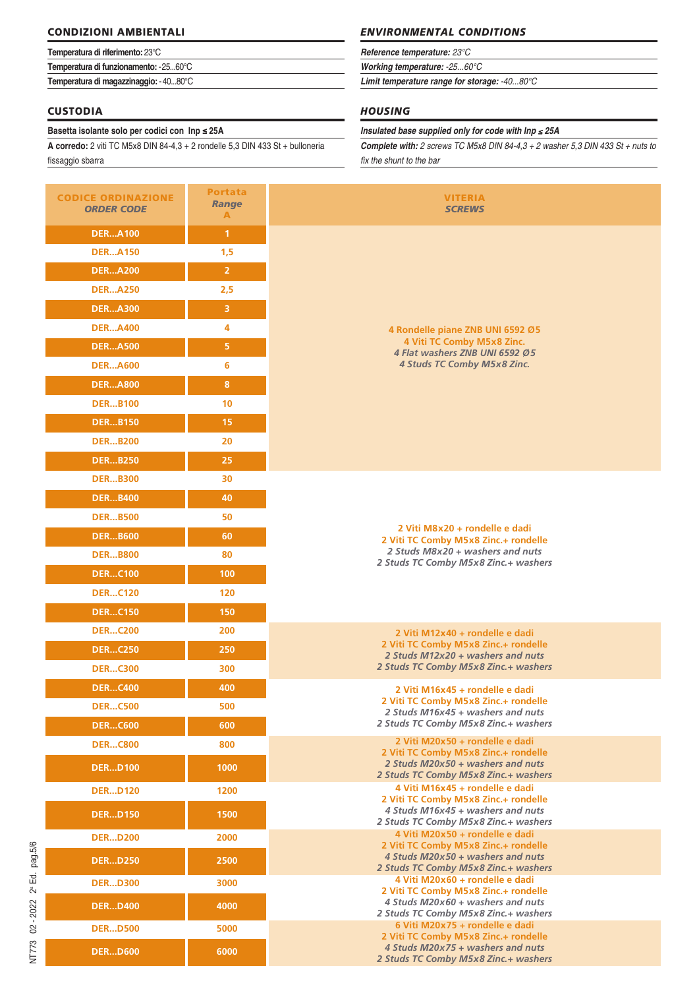### **CONDIZIONI AMBIENTALI**

| Temperatura di riferimento: 23°C      |  |  |  |  |
|---------------------------------------|--|--|--|--|
| Temperatura di funzionamento: -2560°C |  |  |  |  |
| Temperatura di magazzinaggio: -4080°C |  |  |  |  |

### **CUSTODIA**

#### **Basetta isolante solo per codici con Inp ≤ 25A**

**A corredo:** 2 viti TC M5x8 DIN 84-4,3 + 2 rondelle 5,3 DIN 433 St + bulloneria fissaggio sbarra

| <b>CODICE ORDINAZIONE</b><br><b>ORDER CODE</b> | Portata<br>Range<br>A |  |
|------------------------------------------------|-----------------------|--|
| <b>DERA100</b>                                 | 1                     |  |
| <b>DERA150</b>                                 | 1,5                   |  |
| <b>DERA200</b>                                 | $\overline{2}$        |  |
| <b>DERA250</b>                                 | 2,5                   |  |
| <b>DERA300</b>                                 | 3                     |  |
| <b>DERA400</b>                                 | 4                     |  |
| <b>DERA500</b>                                 | 5                     |  |
| <b>DERA600</b>                                 | 6                     |  |
| <b>DERA800</b>                                 | 8                     |  |
| <b>DERB100</b>                                 | 10                    |  |
| <b>DERB150</b>                                 | 15                    |  |
| <b>DERB200</b>                                 | 20                    |  |
| <b>DERB250</b>                                 | 25                    |  |
| <b>DERB300</b>                                 | 30                    |  |
| <b>DERB400</b>                                 | 40                    |  |
| <b>DERB500</b>                                 | 50                    |  |
| <b>DERB600</b>                                 | 60                    |  |
| <b>DERB800</b>                                 | 80                    |  |
| <b>DERC100</b>                                 | 100                   |  |
| <b>DERC120</b>                                 | 120                   |  |
| <b>DERC150</b>                                 | 150                   |  |
| <b>DERC200</b>                                 | 200                   |  |
| <b>DERC250</b>                                 | 250                   |  |
| <b>DERC300</b>                                 | 300                   |  |
| <b>DERC400</b>                                 | 400                   |  |
| <b>DERC500</b>                                 | 500                   |  |
| <b>DERC600</b>                                 | 600                   |  |
| <b>DERC800</b>                                 | 800                   |  |
| <b>DERD100</b>                                 | 1000                  |  |
| <b>DERD120</b>                                 | 1200                  |  |
| <b>DERD150</b>                                 | 1500                  |  |
| <b>DERD200</b>                                 | 2000                  |  |
| <b>DERD250</b>                                 | 2500                  |  |
| <b>DERD300</b>                                 | 3000                  |  |
| <b>DERD400</b>                                 | 4000                  |  |
| <b>DERD500</b>                                 | 5000                  |  |
| <b>DERD600</b>                                 | 6000                  |  |

## *ENVIRONMENTAL CONDITIONS*

#### *Reference temperature: 23°C*

*Working temperature: -25...60°C*

*Limit temperature range for storage: -40...80°C*

## *HOUSING*

#### *Insulated base supplied only for code with Inp* ≤ *25A*

*Complete with: 2 screws TC M5x8 DIN 84-4,3 + 2 washer 5,3 DIN 433 St + nuts to fix the shunt to the bar*

| <b>E ORDINAZIONE</b><br><b>RDER CODE</b> | <b>Portata</b><br><b>Range</b><br>A | <b>VITERIA</b><br><b>SCREWS</b>                                           |
|------------------------------------------|-------------------------------------|---------------------------------------------------------------------------|
| <b>DERA100</b>                           | $\mathbf{1}$                        |                                                                           |
| <b>DERA150</b>                           | 1,5                                 |                                                                           |
| <b>DERA200</b>                           | $\overline{2}$                      |                                                                           |
| <b>DERA250</b>                           | 2,5                                 |                                                                           |
| <b>DERA300</b>                           | 3                                   |                                                                           |
| <b>DERA400</b>                           | 4                                   | 4 Rondelle piane ZNB UNI 6592 Ø5                                          |
| <b>DERA500</b>                           | 5                                   | 4 Viti TC Comby M5x8 Zinc.<br>4 Flat washers ZNB UNI 6592 Ø5              |
| <b>DERA600</b>                           | 6                                   | <b>4 Studs TC Comby M5x8 Zinc.</b>                                        |
| <b>DERA800</b>                           | 8                                   |                                                                           |
| <b>DERB100</b>                           | 10                                  |                                                                           |
| <b>DERB150</b>                           | 15                                  |                                                                           |
| <b>DERB200</b>                           | 20                                  |                                                                           |
| <b>DERB250</b>                           | 25                                  |                                                                           |
| <b>DERB300</b>                           | 30                                  |                                                                           |
| <b>DERB400</b>                           | 40                                  |                                                                           |
| <b>DERB500</b>                           | 50                                  | 2 Viti M8x20 + rondelle e dadi                                            |
| <b>DERB600</b>                           | 60                                  | 2 Viti TC Comby M5x8 Zinc.+ rondelle                                      |
| <b>DERB800</b>                           | 80                                  | 2 Studs M8x20 + washers and nuts<br>2 Studs TC Comby M5x8 Zinc.+ washers  |
| <b>DERC100</b>                           | 100                                 |                                                                           |
| <b>DERC120</b>                           | 120                                 |                                                                           |
| <b>DERC150</b>                           | 150                                 |                                                                           |
| <b>DERC200</b>                           | 200                                 | 2 Viti M12x40 + rondelle e dadi<br>2 Viti TC Comby M5x8 Zinc.+ rondelle   |
| <b>DERC250</b>                           | 250                                 | 2 Studs M12x20 + washers and nuts                                         |
| <b>DERC300</b>                           | 300                                 | 2 Studs TC Comby M5x8 Zinc.+ washers                                      |
| <b>DERC400</b>                           | 400                                 | 2 Viti M16x45 + rondelle e dadi<br>2 Viti TC Comby M5x8 Zinc.+ rondelle   |
| <b>DERC500</b>                           | 500                                 | 2 Studs M16x45 + washers and nuts                                         |
| <b>DERC600</b>                           | 600                                 | 2 Studs TC Comby M5x8 Zinc.+ washers                                      |
| <b>DERC800</b>                           | 800                                 | 2 Viti M20x50 + rondelle e dadi<br>2 Viti TC Comby M5x8 Zinc.+ rondelle   |
| <b>DERD100</b>                           | $\overline{1000}$                   | 2 Studs M20x50 + washers and nuts<br>2 Studs TC Comby M5x8 Zinc.+ washers |
| <b>DERD120</b>                           | 1200                                | 4 Viti M16x45 + rondelle e dadi<br>2 Viti TC Comby M5x8 Zinc.+ rondelle   |
| <b>DERD150</b>                           | 1500                                | 4 Studs M16x45 + washers and nuts<br>2 Studs TC Comby M5x8 Zinc.+ washers |
| <b>DERD200</b>                           | 2000                                | 4 Viti M20x50 + rondelle e dadi<br>2 Viti TC Comby M5x8 Zinc.+ rondelle   |
| <b>DERD250</b>                           | 2500                                | 4 Studs M20x50 + washers and nuts<br>2 Studs TC Comby M5x8 Zinc.+ washers |
| <b>DERD300</b>                           | 3000                                | 4 Viti M20x60 + rondelle e dadi<br>2 Viti TC Comby M5x8 Zinc.+ rondelle   |
| <b>DERD400</b>                           | 4000                                | 4 Studs M20x60 + washers and nuts<br>2 Studs TC Comby M5x8 Zinc.+ washers |
| <b>DERD500</b>                           | 5000                                | 6 Viti M20x75 + rondelle e dadi<br>2 Viti TC Comby M5x8 Zinc.+ rondelle   |
| DER DEMO                                 | 6000                                | 4 Studs M20x75 + washers and nuts                                         |

*2 Studs TC Comby M5x8 Zinc.+ washers*